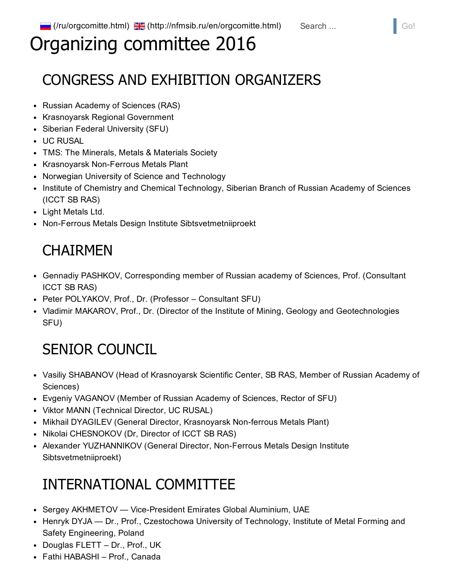# Organizing committee 2016

## CONGRESS AND EXHIBITION ORGANIZERS

- Russian Academy of Sciences (RAS)
- Krasnoyarsk Regional Government
- Siberian Federal University (SFU)
- UC RUSAL
- TMS: The Minerals, Metals & Materials Society
- Krasnoyarsk Non-Ferrous Metals Plant
- Norwegian University of Science and Technology
- Institute of Chemistry and Chemical Technology, Siberian Branch of Russian Academy of Sciences (ICCT SB RAS)
- Light Metals Ltd.
- Non-Ferrous Metals Design Institute Sibtsvetmetniiproekt

### **CHAIRMEN**

- Gennadiy PASHKOV, Corresponding member of Russian academy of Sciences, Prof. (Consultant ICCT SB RAS)
- Peter POLYAKOV, Prof., Dr. (Professor Consultant SFU)
- Vladimir MAKAROV, Prof., Dr. (Director of the Institute of Mining, Geology and Geotechnologies SFU)

## SENIOR COUNCIL

- Vasiliy SHABANOV (Head of Krasnoyarsk Scientific Center, SB RAS, Member of Russian Academy of Sciences)
- Evgeniy VAGANOV (Member of Russian Academy of Sciences, Rector of SFU)
- Viktor MANN (Technical Director, UC RUSAL)
- Mikhail DYAGILEV (General Director, Krasnoyarsk Non-ferrous Metals Plant)
- Nikolai CHESNOKOV (Dr, Director of ICCT SB RAS)
- Alexander YUZHANNIKOV (General Director, Non-Ferrous Metals Design Institute Sibtsvetmetniiproekt)

## INTERNATIONAL COMMITTEE

- Sergey AKHMETOV Vice-President Emirates Global Aluminium, UAE
- Henryk DYJA Dr., Prof., Czestochowa University of Technology, Institute of Metal Forming and Safety Engineering, Poland
- Douglas FLETT Dr., Prof., UK
- Fathi HABASHI Prof., Canada